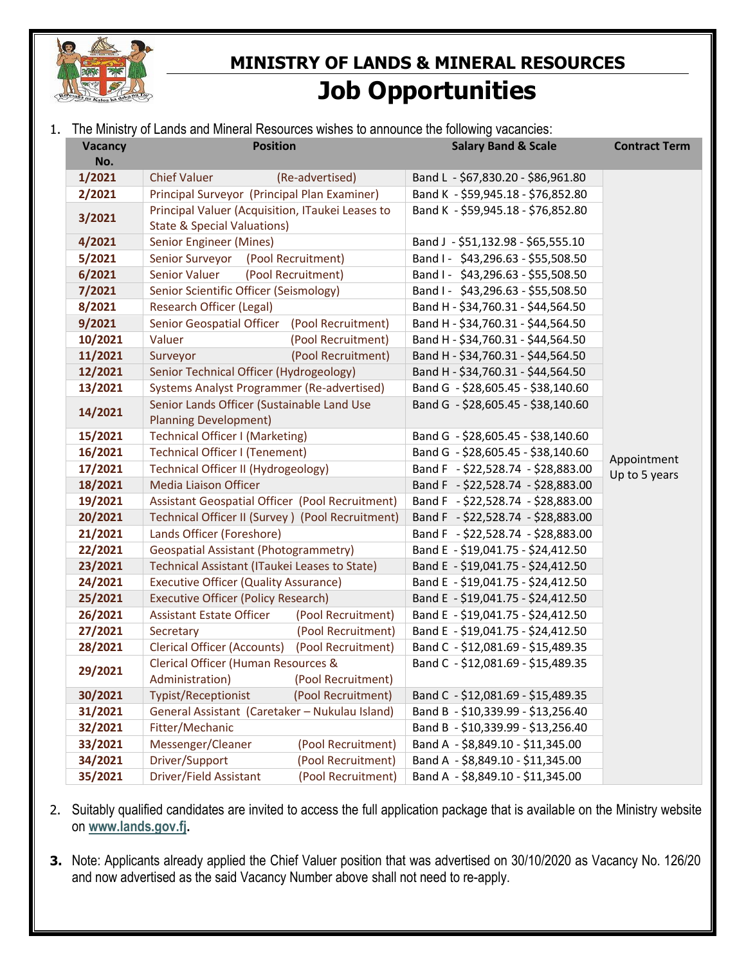

## **MINISTRY OF LANDS & MINERAL RESOURCES Job Opportunities**

1. The Ministry of Lands and Mineral Resources wishes to announce the following vacancies:

| Vacancy | <b>Position</b>                                                                            |                    | <b>Salary Band &amp; Scale</b>     |  | <b>Contract Term</b> |  |
|---------|--------------------------------------------------------------------------------------------|--------------------|------------------------------------|--|----------------------|--|
| No.     |                                                                                            |                    |                                    |  |                      |  |
| 1/2021  | <b>Chief Valuer</b>                                                                        | (Re-advertised)    | Band L - \$67,830.20 - \$86,961.80 |  |                      |  |
| 2/2021  | Principal Surveyor (Principal Plan Examiner)                                               |                    | Band K - \$59,945.18 - \$76,852.80 |  |                      |  |
| 3/2021  | Principal Valuer (Acquisition, ITaukei Leases to<br><b>State &amp; Special Valuations)</b> |                    | Band K - \$59,945.18 - \$76,852.80 |  |                      |  |
| 4/2021  | Senior Engineer (Mines)                                                                    |                    | Band J - \$51,132.98 - \$65,555.10 |  |                      |  |
| 5/2021  | (Pool Recruitment)<br>Senior Surveyor                                                      |                    | Band I - \$43,296.63 - \$55,508.50 |  |                      |  |
| 6/2021  | (Pool Recruitment)<br>Senior Valuer                                                        |                    | Band I - \$43,296.63 - \$55,508.50 |  |                      |  |
| 7/2021  | Senior Scientific Officer (Seismology)                                                     |                    | Band I - \$43,296.63 - \$55,508.50 |  |                      |  |
| 8/2021  | <b>Research Officer (Legal)</b>                                                            |                    | Band H - \$34,760.31 - \$44,564.50 |  |                      |  |
| 9/2021  | Senior Geospatial Officer<br>(Pool Recruitment)                                            |                    | Band H - \$34,760.31 - \$44,564.50 |  |                      |  |
| 10/2021 | Valuer                                                                                     | (Pool Recruitment) | Band H - \$34,760.31 - \$44,564.50 |  |                      |  |
| 11/2021 | Surveyor                                                                                   | (Pool Recruitment) | Band H - \$34,760.31 - \$44,564.50 |  |                      |  |
| 12/2021 | Senior Technical Officer (Hydrogeology)                                                    |                    | Band H - \$34,760.31 - \$44,564.50 |  |                      |  |
| 13/2021 | Systems Analyst Programmer (Re-advertised)                                                 |                    | Band G - \$28,605.45 - \$38,140.60 |  |                      |  |
| 14/2021 | Senior Lands Officer (Sustainable Land Use                                                 |                    | Band G - \$28,605.45 - \$38,140.60 |  |                      |  |
|         | <b>Planning Development)</b>                                                               |                    |                                    |  |                      |  |
| 15/2021 | Technical Officer I (Marketing)                                                            |                    | Band G - \$28,605.45 - \$38,140.60 |  |                      |  |
| 16/2021 | <b>Technical Officer I (Tenement)</b>                                                      |                    | Band G - \$28,605.45 - \$38,140.60 |  | Appointment          |  |
| 17/2021 | Technical Officer II (Hydrogeology)                                                        |                    | Band F - \$22,528.74 - \$28,883.00 |  | Up to 5 years        |  |
| 18/2021 | Media Liaison Officer                                                                      |                    | Band F - \$22,528.74 - \$28,883.00 |  |                      |  |
| 19/2021 | Assistant Geospatial Officer (Pool Recruitment)                                            |                    | Band F - \$22,528.74 - \$28,883.00 |  |                      |  |
| 20/2021 | Technical Officer II (Survey) (Pool Recruitment)                                           |                    | Band F - \$22,528.74 - \$28,883.00 |  |                      |  |
| 21/2021 | Lands Officer (Foreshore)                                                                  |                    | Band F - \$22,528.74 - \$28,883.00 |  |                      |  |
| 22/2021 | <b>Geospatial Assistant (Photogrammetry)</b>                                               |                    | Band E - \$19,041.75 - \$24,412.50 |  |                      |  |
| 23/2021 | Technical Assistant (ITaukei Leases to State)                                              |                    | Band E - \$19,041.75 - \$24,412.50 |  |                      |  |
| 24/2021 | <b>Executive Officer (Quality Assurance)</b>                                               |                    | Band E - \$19,041.75 - \$24,412.50 |  |                      |  |
| 25/2021 | <b>Executive Officer (Policy Research)</b>                                                 |                    | Band E - \$19,041.75 - \$24,412.50 |  |                      |  |
| 26/2021 | <b>Assistant Estate Officer</b>                                                            | (Pool Recruitment) | Band E - \$19,041.75 - \$24,412.50 |  |                      |  |
| 27/2021 | Secretary                                                                                  | (Pool Recruitment) | Band E - \$19,041.75 - \$24,412.50 |  |                      |  |
| 28/2021 | <b>Clerical Officer (Accounts)</b>                                                         | (Pool Recruitment) | Band C - \$12,081.69 - \$15,489.35 |  |                      |  |
| 29/2021 | Clerical Officer (Human Resources &                                                        |                    | Band C - \$12,081.69 - \$15,489.35 |  |                      |  |
|         | Administration)                                                                            | (Pool Recruitment) |                                    |  |                      |  |
| 30/2021 | <b>Typist/Receptionist</b>                                                                 | (Pool Recruitment) | Band C - \$12,081.69 - \$15,489.35 |  |                      |  |
| 31/2021 | General Assistant (Caretaker - Nukulau Island)                                             |                    | Band B - \$10,339.99 - \$13,256.40 |  |                      |  |
| 32/2021 | Fitter/Mechanic                                                                            |                    | Band B - \$10,339.99 - \$13,256.40 |  |                      |  |
| 33/2021 | Messenger/Cleaner                                                                          | (Pool Recruitment) | Band A - \$8,849.10 - \$11,345.00  |  |                      |  |
| 34/2021 | Driver/Support                                                                             | (Pool Recruitment) | Band A - \$8,849.10 - \$11,345.00  |  |                      |  |
| 35/2021 | Driver/Field Assistant                                                                     | (Pool Recruitment) | Band A - \$8,849.10 - \$11,345.00  |  |                      |  |

- 2. Suitably qualified candidates are invited to access the full application package that is available on the Ministry website on **[www.lands.gov.fj.](http://www.lands.gov.fj/)**
- **3.** Note: Applicants already applied the Chief Valuer position that was advertised on 30/10/2020 as Vacancy No. 126/20 and now advertised as the said Vacancy Number above shall not need to re-apply.